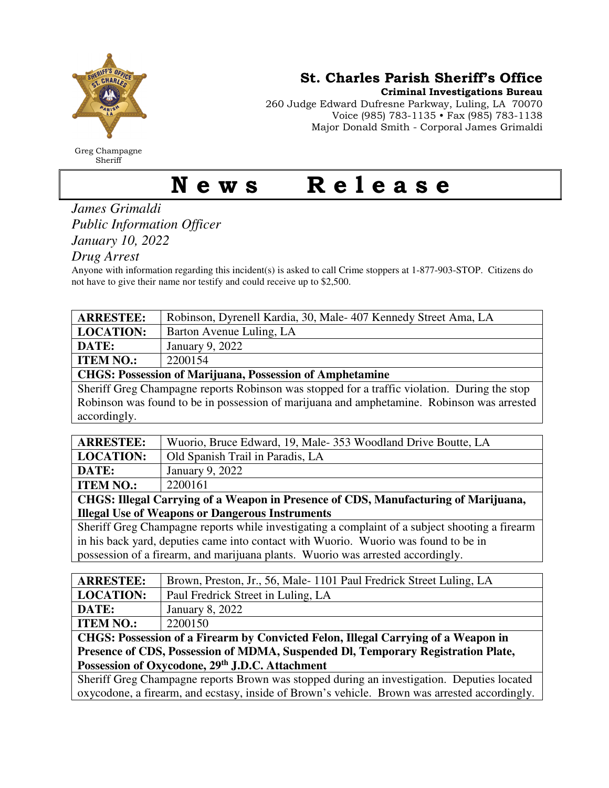

Greg Champagne Sheriff

St. Charles Parish Sheriff's Office

Criminal Investigations Bureau

260 Judge Edward Dufresne Parkway, Luling, LA 70070 Voice (985) 783-1135 • Fax (985) 783-1138 Major Donald Smith - Corporal James Grimaldi

## News Release

## *James Grimaldi Public Information Officer January 10, 2022*

*Drug Arrest* 

Anyone with information regarding this incident(s) is asked to call Crime stoppers at 1-877-903-STOP. Citizens do not have to give their name nor testify and could receive up to \$2,500.

| <b>ARRESTEE:</b>                                                | Robinson, Dyrenell Kardia, 30, Male-407 Kennedy Street Ama, LA |  |
|-----------------------------------------------------------------|----------------------------------------------------------------|--|
| <b>LOCATION:</b>                                                | Barton Avenue Luling, LA                                       |  |
| <b>DATE:</b>                                                    | January 9, 2022                                                |  |
| <b>ITEM NO.:</b>                                                | 2200154                                                        |  |
| <b>CHGS: Possession of Marijuana, Possession of Amphetamine</b> |                                                                |  |
|                                                                 |                                                                |  |

Sheriff Greg Champagne reports Robinson was stopped for a traffic violation. During the stop Robinson was found to be in possession of marijuana and amphetamine. Robinson was arrested accordingly.

| <b>ARRESTEE:</b> | Wuorio, Bruce Edward, 19, Male-353 Woodland Drive Boutte, LA |  |
|------------------|--------------------------------------------------------------|--|
| <b>LOCATION:</b> | Old Spanish Trail in Paradis, LA                             |  |
| DATE:            | January 9, 2022                                              |  |
| <b>ITEM NO.:</b> | 2200161                                                      |  |
|                  |                                                              |  |

**CHGS: Illegal Carrying of a Weapon in Presence of CDS, Manufacturing of Marijuana, Illegal Use of Weapons or Dangerous Instruments** 

Sheriff Greg Champagne reports while investigating a complaint of a subject shooting a firearm in his back yard, deputies came into contact with Wuorio. Wuorio was found to be in possession of a firearm, and marijuana plants. Wuorio was arrested accordingly.

| <b>ARRESTEE:</b>                                                                              | Brown, Preston, Jr., 56, Male-1101 Paul Fredrick Street Luling, LA |  |
|-----------------------------------------------------------------------------------------------|--------------------------------------------------------------------|--|
| <b>LOCATION:</b>                                                                              | Paul Fredrick Street in Luling, LA                                 |  |
| DATE:                                                                                         | January 8, 2022                                                    |  |
| <b>ITEM NO.:</b>                                                                              | 2200150                                                            |  |
| CHGS: Possession of a Firearm by Convicted Felon, Illegal Carrying of a Weapon in             |                                                                    |  |
| Presence of CDS, Possession of MDMA, Suspended DI, Temporary Registration Plate,              |                                                                    |  |
| Possession of Oxycodone, 29th J.D.C. Attachment                                               |                                                                    |  |
| Sheriff Greg Champagne reports Brown was stopped during an investigation. Deputies located    |                                                                    |  |
| oxycodone, a firearm, and ecstasy, inside of Brown's vehicle. Brown was arrested accordingly. |                                                                    |  |